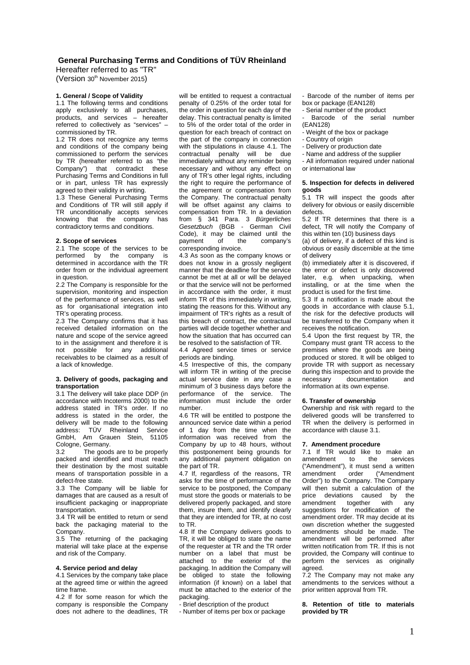# **General Purchasing Terms and Conditions of TÜV Rheinland**

Hereafter referred to as "TR" (Version 30<sup>th</sup> November 2015)

# **1. General / Scope of Validity**

1.1 The following terms and conditions apply exclusively to all purchases, products, and services – hereafter referred to collectively as "services" – commissioned by TR.

1.2 TR does not recognize any terms and conditions of the company being commissioned to perform the services by TR (hereafter referred to as "the Company") that contradict these Purchasing Terms and Conditions in full or in part, unless TR has expressly agreed to their validity in writing.

1.3 These General Purchasing Terms and Conditions of TR will still apply if TR unconditionally accepts services knowing that the company has contradictory terms and conditions.

#### **2. Scope of services**

2.1 The scope of the services to be performed by the company is determined in accordance with the TR order from or the individual agreement in question.

2.2 The Company is responsible for the supervision, monitoring and inspection of the performance of services, as well as for organisational integration into TR's operating process.

2.3 The Company confirms that it has received detailed information on the nature and scope of the service agreed to in the assignment and therefore it is not possible for any additional receivables to be claimed as a result of a lack of knowledge.

#### **3. Delivery of goods, packaging and transportation**

3.1 The delivery will take place DDP (in accordance with Incoterms 2000) to the address stated in TR's order. If no address is stated in the order, the delivery will be made to the following address: TÜV Rheinland Service GmbH, Am Grauen Stein, 51105 Cologne, Germany.

3.2 The goods are to be properly packed and identified and must reach their destination by the most suitable means of transportation possible in a defect-free state.

3.3 The Company will be liable for damages that are caused as a result of insufficient packaging or inappropriate transportation.

3.4 TR will be entitled to return or send back the packaging material to the Company.

3.5 The returning of the packaging material will take place at the expense and risk of the Company.

#### **4. Service period and delay**

4.1 Services by the company take place at the agreed time or within the agreed time frame.

4.2 If for some reason for which the company is responsible the Company does not adhere to the deadlines, TR

will be entitled to request a contractual penalty of 0.25% of the order total for the order in question for each day of the delay. This contractual penalty is limited to 5% of the order total of the order in question for each breach of contract on the part of the company in connection with the stipulations in clause 4.1. The contractual penalty will be due immediately without any reminder being necessary and without any effect on any of TR's other legal rights, including the right to require the performance of the agreement or compensation from the Company. The contractual penalty will be offset against any claims to compensation from TR. In a deviation from § 341 Para. 3 Bürgerliches Gesetzbuch (BGB - German Civil Code), it may be claimed until the<br>payment of the company's the company's corresponding invoice.

4.3 As soon as the company knows or does not know in a grossly negligent manner that the deadline for the service cannot be met at all or will be delayed or that the service will not be performed in accordance with the order, it must inform TR of this immediately in writing, stating the reasons for this. Without any impairment of TR's rights as a result of this breach of contract, the contractual parties will decide together whether and how the situation that has occurred can be resolved to the satisfaction of TR.

4.4 Agreed service times or service periods are binding.

4.5 Irrespective of this, the company will inform TR in writing of the precise actual service date in any case a minimum of 3 business days before the performance of the service. The information must include the order number.

4.6 TR will be entitled to postpone the announced service date within a period of 1 day from the time when the information was received from the Company by up to 48 hours, without this postponement being grounds for any additional payment obligation on the part of TR.

4.7 If, regardless of the reasons, TR asks for the time of performance of the service to be postponed, the Company must store the goods or materials to be delivered properly packaged, and store them, insure them, and identify clearly that they are intended for TR, at no cost to TR.

4.8 If the Company delivers goods to TR, it will be obliged to state the name of the requester at TR and the TR order number on a label that must be attached to the exterior of the packaging. In addition the Company will be obliged to state the following information (if known) on a label that must be attached to the exterior of the packaging.

.<br>- Brief description of the product

- Number of items per box or package

- Barcode of the number of items per box or package (EAN128)

- Serial number of the product

Barcode of the serial number (EAN128)

- Weight of the box or package
- Country of origin
- Delivery or production date
- Name and address of the supplier
- All information required under national
- or international law

### **5. Inspection for defects in delivered goods**

5.1 TR will inspect the goods after delivery for obvious or easily discernible defects.

5.2 If TR determines that there is a defect, TR will notify the Company of this within ten (10) business days

(a) of delivery, if a defect of this kind is obvious or easily discernible at the time of delivery

(b) immediately after it is discovered, if the error or defect is only discovered later, e.g. when unpacking, when installing, or at the time when the product is used for the first time.

5.3 If a notification is made about the goods in accordance with clause 5.1, the risk for the defective products will be transferred to the Company when it receives the notification.

5.4 Upon the first request by TR, the Company must grant TR access to the premises where the goods are being produced or stored. It will be obliged to provide TR with support as necessary during this inspection and to provide the necessary documentation and information at its own expense.

### **6. Transfer of ownership**

Ownership and risk with regard to the delivered goods will be transferred to TR when the delivery is performed in accordance with clause 3.1.

# **7. Amendment procedure**

7.1 If TR would like to make an<br>amendment to the services to the services ("Amendment"), it must send a written amendment order ("Amendment Order") to the Company. The Company will then submit a calculation of the price deviations caused by the amendment together with any suggestions for modification of the amendment order. TR may decide at its own discretion whether the suggested amendments should be made. The amendment will be performed after written notification from TR. If this is not provided, the Company will continue to perform the services as originally .<br>agreed.

7.2 The Company may not make any amendments to the services without a prior written approval from TR.

**8. Retention of title to materials provided by TR**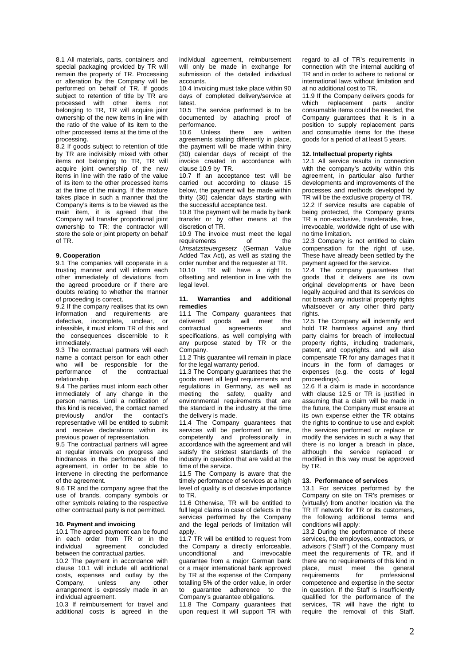8.1 All materials, parts, containers and special packaging provided by TR will remain the property of TR. Processing or alteration by the Company will be performed on behalf of TR. If goods subject to retention of title by TR are processed with other items not belonging to TR, TR will acquire joint ownership of the new items in line with the ratio of the value of its item to the other processed items at the time of the processing.

8.2 If goods subject to retention of title by TR are indivisibly mixed with other items not belonging to TR, TR will acquire joint ownership of the new items in line with the ratio of the value of its item to the other processed items at the time of the mixing. If the mixture takes place in such a manner that the Company's items is to be viewed as the main item, it is agreed that the Company will transfer proportional joint ownership to TR; the contractor will store the sole or joint property on behalf of TR.

# **9. Cooperation**

9.1 The companies will cooperate in a trusting manner and will inform each other immediately of deviations from the agreed procedure or if there are doubts relating to whether the manner of proceeding is correct.

9.2 If the company realises that its own information and requirements are defective, incomplete, unclear, or infeasible, it must inform TR of this and the consequences discernible to it immediately.

9.3 The contractual partners will each name a contact person for each other who will be responsible for the performance of the contractual relationship.

9.4 The parties must inform each other immediately of any change in the person names. Until a notification of this kind is received, the contact named previously and/or the contact's representative will be entitled to submit and receive declarations within its previous power of representation.

9.5 The contractual partners will agree at regular intervals on progress and hindrances in the performance of the agreement, in order to be able to intervene in directing the performance of the agreement.

9.6 TR and the company agree that the use of brands, company symbols or other symbols relating to the respective other contractual party is not permitted.

#### **10. Payment and invoicing**

10.1 The agreed payment can be found in each order from TR or in the<br>individual agreement concluded agreement between the contractual parties.

10.2 The payment in accordance with clause 10.1 will include all additional costs, expenses and outlay by the<br>Company, unless any other Company, unless any arrangement is expressly made in an individual agreement.

10.3 If reimbursement for travel and additional costs is agreed in the individual agreement, reimbursement will only be made in exchange for submission of the detailed individual accounts.

10.4 Invoicing must take place within 90 days of completed delivery/service at latest.

10.5 The service performed is to be documented by attaching proof of performance.

10.6 Unless there are written agreements stating differently in place, the payment will be made within thirty (30) calendar days of receipt of the invoice created in accordance with clause 10.9 by TR.

10.7 If an acceptance test will be carried out according to clause 15 below, the payment will be made within thirty (30) calendar days starting with the successful acceptance test.

10.8 The payment will be made by bank transfer or by other means at the discretion of TR.

10.9 The invoice must meet the legal requirements of the Umsatzsteuergesetz (German Value Added Tax Act), as well as stating the order number and the requester at TR. 10.10 TR will have a right to offsetting and retention in line with the legal level.

### **11. Warranties and additional remedies**

11.1 The Company guarantees that delivered goods will meet the contractual agreements and specifications, as well complying with any purpose stated by TR or the Company.

11.2 This guarantee will remain in place for the legal warranty period.

11.3 The Company guarantees that the goods meet all legal requirements and regulations in Germany, as well as meeting the safety, quality and environmental requirements that are the standard in the industry at the time the delivery is made.

11.4 The Company guarantees that services will be performed on time, competently and professionally in accordance with the agreement and will satisfy the strictest standards of the industry in question that are valid at the time of the service.

11.5 The Company is aware that the timely performance of services at a high level of quality is of decisive importance to TR.

11.6 Otherwise, TR will be entitled to full legal claims in case of defects in the services performed by the Company and the legal periods of limitation will apply.

11.7 TR will be entitled to request from the Company a directly enforceable, unconditional and irrevocable guarantee from a major German bank or a major international bank approved by TR at the expense of the Company totalling 5% of the order value, in order to guarantee adherence to the Company's guarantee obligations.

11.8 The Company guarantees that upon request it will support TR with

regard to all of TR's requirements in connection with the internal auditing of TR and in order to adhere to national or international laws without limitation and at no additional cost to TR.

11.9 If the Company delivers goods for which replacement parts and/or consumable items could be needed, the Company guarantees that it is in a position to supply replacement parts and consumable items for the these goods for a period of at least 5 years.

### **12. Intellectual property rights**

12.1 All service results in connection with the company's activity within this agreement, in particular also further developments and improvements of the processes and methods developed by TR will be the exclusive property of TR.

12.2 If service results are capable of being protected, the Company grants TR a non-exclusive, transferable, free, irrevocable, worldwide right of use with no time limitation.

12.3 Company is not entitled to claim compensation for the right of use. These have already been settled by the payment agreed for the service.

12.4 The company guarantees that goods that it delivers are its own original developments or have been legally acquired and that its services do not breach any industrial property rights whatsoever or any other third party rights.

12.5 The Company will indemnify and hold TR harmless against any third party claims for breach of intellectual property rights, including trademark, patent, and copyrights, and will also compensate TR for any damages that it incurs in the form of damages or expenses (e.g. the costs of legal proceedings).

12.6 If a claim is made in accordance with clause 12.5 or TR is justified in assuming that a claim will be made in the future, the Company must ensure at its own expense either the TR obtains the rights to continue to use and exploit the services performed or replace or modify the services in such a way that there is no longer a breach in place, although the service replaced or modified in this way must be approved by TR.

# **13. Performance of services**

13.1 For services performed by the Company on site on TR's premises or (virtually) from another location via the TR IT network for TR or its customers, the following additional terms and conditions will apply:

13.2 During the performance of these services, the employees, contractors, or advisors ("Staff") of the Company must meet the requirements of TR, and if there are no requirements of this kind in place, must meet the general requirements for professional competence and expertise in the sector in question. If the Staff is insufficiently qualified for the performance of the services, TR will have the right to require the removal of this Staff.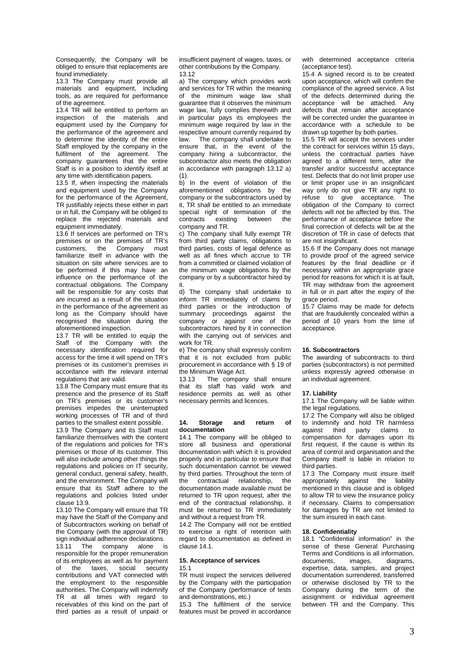Consequently, the Company will be obliged to ensure that replacements are found immediately.

13.3 The Company must provide all materials and equipment, including tools, as are required for performance of the agreement.

13.4 TR will be entitled to perform an inspection of the materials and equipment used by the Company for the performance of the agreement and to determine the identity of the entire Staff employed by the company in the fulfilment of the agreement. The company guarantees that the entire Staff is in a position to identify itself at any time with identification papers.

13.5 If, when inspecting the materials and equipment used by the Company for the performance of the Agreement. TR justifiably rejects these either in part or in full, the Company will be obliged to replace the rejected materials and equipment immediately.

13.6 If services are performed on TR's premises or on the premises of TR's<br>customers the Company must customers, the Company familiarize itself in advance with the situation on site where services are to be performed if this may have an influence on the performance of the contractual obligations. The Company will be responsible for any costs that are incurred as a result of the situation in the performance of the agreement as long as the Company should have recognised the situation during the aforementioned inspection.

13.7 TR will be entitled to equip the Staff of the Company with the necessary identification required for access for the time it will spend on TR's premises or its customer's premises in accordance with the relevant internal regulations that are valid.

13.8 The Company must ensure that its presence and the presence of its Staff on TR's premises or its customer's premises impedes the uninterrupted working processes of TR and of third

parties to the smallest extent possible. 13.9 The Company and its Staff must familiarize themselves with the content of the regulations and policies for TR's premises or those of its customer. This will also include among other things the regulations and policies on IT security, general conduct, general safety, health, and the environment. The Company will ensure that its Staff adhere to the regulations and policies listed under clause 13.9.

13.10 The Company will ensure that TR may have the Staff of the Company and of Subcontractors working on behalf of the Company (with the approval of TR)

sign individual adherence declarations.<br>13.11 The company alone is 13.11 The company alone is responsible for the proper remuneration of its employees as well as for payment<br>of the taxes, social security of the taxes, social security contributions and VAT connected with the employment to the responsible authorities. The Company will indemnify TR at all times with regard to receivables of this kind on the part of third parties as a result of unpaid or

insufficient payment of wages, taxes, or other contributions by the Company. 13.12

a) The company which provides work and services for TR within the meaning of the minimum wage law shall guarantee that it observes the minimum wage law, fully complies therewith and in particular pays its employees the minimum wage required by law in the respective amount currently required by law. The company shall undertake to ensure that, in the event of the company hiring a subcontractor, the subcontractor also meets the obligation in accordance with paragraph 13.12 a)  $(1).$ 

b) In the event of violation of the aforementioned obligations by the company or the subcontractors used by it, TR shall be entitled to an immediate special right of termination of the<br>contracts existing between the contracts existing company and TR.

c) The company shall fully exempt TR from third party claims, obligations to third parties, costs of legal defence as well as all fines which accrue to TR from a committed or claimed violation of the minimum wage obligations by the company or by a subcontractor hired by it.

d) The company shall undertake to inform TR immediately of claims by third parties or the introduction of summary proceedings against the company or against one of the subcontractors hired by it in connection with the carrying out of services and work for TR.

e) The company shall expressly confirm that it is not excluded from public procurement in accordance with § 19 of the Minimum Wage Act.

13.13 The company shall ensure that its staff has valid work and residence permits as well as other necessary permits and licences.

### **14. Storage and return of documentation**

14.1 The company will be obliged to store all business and operational documentation with which it is provided properly and in particular to ensure that such documentation cannot be viewed by third parties. Throughout the term of the contractual relationship, the documentation made available must be returned to TR upon request, after the end of the contractual relationship, it must be returned to TR immediately and without a request from TR.

14.2 The Company will not be entitled to exercise a right of retention with regard to documentation as defined in  $cl$ ause 14.1.

#### **15. Acceptance of services**  15.1

TR must inspect the services delivered by the Company with the participation of the Company (performance of tests and demonstrations, etc.)

15.3 The fulfilment of the service features must be proved in accordance

with determined acceptance criteria (acceptance test).

15.4 A signed record is to be created upon acceptance, which will confirm the compliance of the agreed service. A list of the defects determined during the acceptance will be attached. Any defects that remain after acceptance will be corrected under the guarantee in accordance with a schedule to be drawn up together by both parties.

15.5 TR will accept the services under the contract for services within 15 days, unless the contractual parties have agreed to a different term, after the transfer and/or successful acceptance test. Defects that do not limit proper use or limit proper use in an insignificant way only do not give TR any right to refuse to give acceptance. The obligation of the Company to correct defects will not be affected by this. The performance of acceptance before the final correction of defects will be at the discretion of TR in case of defects that are not insignificant.

15.6 If the Company does not manage to provide proof of the agreed service features by the final deadline or if necessary within an appropriate grace period for reasons for which it is at fault, TR may withdraw from the agreement in full or in part after the expiry of the grace period.

15.7 Claims may be made for defects that are fraudulently concealed within a period of 10 years from the time of acceptance.

# **16. Subcontractors**

The awarding of subcontracts to third parties (subcontractors) is not permitted unless expressly agreed otherwise in an individual agreement.

#### **17. Liability**

17.1 The Company will be liable within the legal regulations.

17.2 The Company will also be obliged to indemnify and hold TR harmless against third party claims to compensation for damages upon its first request, if the cause is within its area of control and organisation and the Company itself is liable in relation to third parties.

17.3 The Company must insure itself appropriately against the liability mentioned in this clause and is obliged to allow TR to view the insurance policy if necessary. Claims to compensation for damages by TR are not limited to the sum insured in each case.

# **18. Confidentiality**

18.1 "Confidential information" in the sense of these General Purchasing Terms and Conditions is all information, documents, images, diagrams, expertise, data, samples, and project documentation surrendered, transferred or otherwise disclosed by TR to the Company during the term of the assignment or individual agreement between TR and the Company. This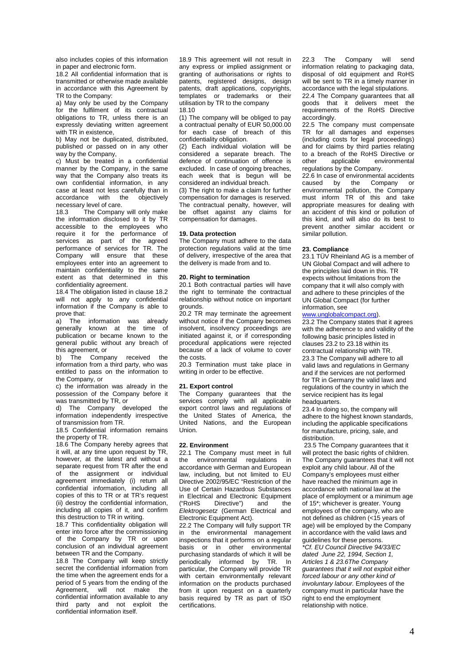also includes copies of this information in paper and electronic form.

18.2 All confidential information that is transmitted or otherwise made available in accordance with this Agreement by TR to the Company:

a) May only be used by the Company for the fulfilment of its contractual obligations to TR, unless there is an expressly deviating written agreement with TR in existence,

b) May not be duplicated, distributed, published or passed on in any other way by the Company,

c) Must be treated in a confidential manner by the Company, in the same way that the Company also treats its own confidential information, in any case at least not less carefully than in<br>accordance with the objectively accordance with the necessary level of care.

18.3 The Company will only make the information disclosed to it by TR accessible to the employees who require it for the performance of services as part of the agreed performance of services for TR. The Company will ensure that these employees enter into an agreement to maintain confidentiality to the same extent as that determined in this confidentiality agreement.

18.4 The obligation listed in clause 18.2 will not apply to any confidential information if the Company is able to prove that:

a) The information was already generally known at the time of publication or became known to the general public without any breach of this agreement, or

b) The Company received the information from a third party, who was entitled to pass on the information to the Company, or

c) the information was already in the possession of the Company before it was transmitted by TR, or

d) The Company developed the information independently irrespective of transmission from TR.

18.5 Confidential information remains the property of TR.

18.6 The Company hereby agrees that it will, at any time upon request by TR, however, at the latest and without a separate request from TR after the end of the assignment or individual agreement immediately (i) return all confidential information, including all copies of this to TR or at TR's request (ii) destroy the confidential information, including all copies of it, and confirm this destruction to TR in writing.

18.7 This confidentiality obligation will enter into force after the commissioning of the Company by TR or upon conclusion of an individual agreement between TR and the Company.

18.8 The Company will keep strictly secret the confidential information from the time when the agreement ends for a period of 5 years from the ending of the Agreement, will not make the confidential information available to any third party and not exploit the confidential information itself.

18.9 This agreement will not result in any express or implied assignment or granting of authorisations or rights to patents, registered designs, design patents, draft applications, copyrights, templates or trademarks or their utilisation by TR to the company 18.10

(1) The company will be obliged to pay a contractual penalty of EUR 50,000.00 for each case of breach of this confidentiality obligation.

(2) Each individual violation will be considered a separate breach. The defence of continuation of offence is excluded. In case of ongoing breaches, each week that is begun will be considered an individual breach.

(3) The right to make a claim for further compensation for damages is reserved. The contractual penalty, however, will be offset against any claims for compensation for damages.

## **19. Data protection**

The Company must adhere to the data protection regulations valid at the time of delivery, irrespective of the area that the delivery is made from and to.

# **20. Right to termination**

20.1 Both contractual parties will have the right to terminate the contractual relationship without notice on important grounds.

20.2 TR may terminate the agreement without notice if the Company becomes insolvent, insolvency proceedings are initiated against it, or if corresponding procedural applications were rejected because of a lack of volume to cover the costs.

20.3 Termination must take place in writing in order to be effective.

#### **21. Export control**

The Company guarantees that the services comply with all applicable export control laws and regulations of the United States of America, the United Nations, and the European Union.

# **22. Environment**

22.1 The Company must meet in full the environmental regulations in accordance with German and European law, including, but not limited to EU Directive 2002/95/EC "Restriction of the Use of Certain Hazardous Substances in Electrical and Electronic Equipment<br>("RoHS Directive") and the Directive") Elektrogesetz (German Electrical and Electronic Equipment Act).

22.2 The Company will fully support TR in the environmental management inspections that it performs on a regular basis or in other environmental purchasing standards of which it will be periodically informed by TR. In particular, the Company will provide TR with certain environmentally relevant information on the products purchased from it upon request on a quarterly basis required by TR as part of ISO certifications.

22.3 The Company will send information relating to packaging data. disposal of old equipment and RoHS will be sent to TR in a timely manner in accordance with the legal stipulations.

22.4 The Company guarantees that all goods that it delivers meet the requirements of the RoHS Directive accordingly.

22.5 The company must compensate TR for all damages and expenses (including costs for legal proceedings) and for claims by third parties relating to a breach of the RoHS Directive or other applicable environmental regulations by the Company.

22.6 In case of environmental accidents<br>caused by the Company or caused by the Company or environmental pollution, the Company must inform TR of this and take most<br>appropriate measures for dealing with an accident of this kind or pollution of this kind, and will also do its best to prevent another similar accident or similar pollution.

### **23. Compliance**

23.1 TÜV Rheinland AG is a member of UN Global Compact and will adhere to the principles laid down in this. TR expects without limitations from the company that it will also comply with and adhere to these principles of the UN Global Compact (for further information, see

# www.unglobalcompact.org).

23.2 The Company states that it agrees with the adherence to and validity of the following basic principles listed in clauses 23.2 to 23.18 within its contractual relationship with TR. 23.3 The Company will adhere to all valid laws and regulations in Germany and if the services are not performed for TR in Germany the valid laws and regulations of the country in which the service recipient has its legal headquarters.

23.4 In doing so, the company will adhere to the highest known standards, including the applicable specifications for manufacture, pricing, sale, and distribution.

23.5 The Company guarantees that it will protect the basic rights of children. The Company guarantees that it will not exploit any child labour. All of the Company's employees must either have reached the minimum age in accordance with national law at the place of employment or a minimum age of 15\*; whichever is greater. Young employees of the company, who are not defined as children (<15 years of age) will be employed by the Company in accordance with the valid laws and guidelines for these persons. \*Cf. EU Council Directive 94/33/EC dated June 22, 1994, Section 1, Articles 1 & 23.6The Company guarantees that it will not exploit either forced labour or any other kind of involuntary labour. Employees of the company must in particular have the right to end the employment relationship with notice.